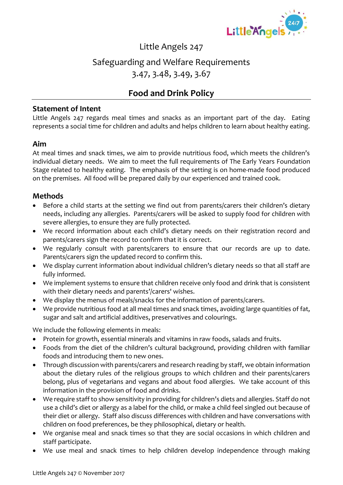

### Little Angels 247

### Safeguarding and Welfare Requirements 3.47, 3.48, 3.49, 3.67

## **Food and Drink Policy**

#### **Statement of Intent**

Little Angels 247 regards meal times and snacks as an important part of the day. Eating represents a social time for children and adults and helps children to learn about healthy eating.

#### **Aim**

At meal times and snack times, we aim to provide nutritious food, which meets the children's individual dietary needs. We aim to meet the full requirements of The Early Years Foundation Stage related to healthy eating. The emphasis of the setting is on home-made food produced on the premises. All food will be prepared daily by our experienced and trained cook.

#### **Methods**

- Before a child starts at the setting we find out from parents/carers their children's dietary needs, including any allergies. Parents/carers will be asked to supply food for children with severe allergies, to ensure they are fully protected.
- We record information about each child's dietary needs on their registration record and parents/carers sign the record to confirm that it is correct.
- We regularly consult with parents/carers to ensure that our records are up to date. Parents/carers sign the updated record to confirm this.
- We display current information about individual children's dietary needs so that all staff are fully informed.
- We implement systems to ensure that children receive only food and drink that is consistent with their dietary needs and parents'/carers' wishes.
- We display the menus of meals/snacks for the information of parents/carers.
- We provide nutritious food at all meal times and snack times, avoiding large quantities of fat, sugar and salt and artificial additives, preservatives and colourings.

We include the following elements in meals:

- Protein for growth, essential minerals and vitamins in raw foods, salads and fruits.
- Foods from the diet of the children's cultural background, providing children with familiar foods and introducing them to new ones.
- Through discussion with parents/carers and research reading by staff, we obtain information about the dietary rules of the religious groups to which children and their parents/carers belong, plus of vegetarians and vegans and about food allergies. We take account of this information in the provision of food and drinks.
- We require staff to show sensitivity in providing for children's diets and allergies. Staff do not use a child's diet or allergy as a label for the child, or make a child feel singled out because of their diet or allergy. Staff also discuss differences with children and have conversations with children on food preferences, be they philosophical, dietary or health.
- We organise meal and snack times so that they are social occasions in which children and staff participate.
- We use meal and snack times to help children develop independence through making